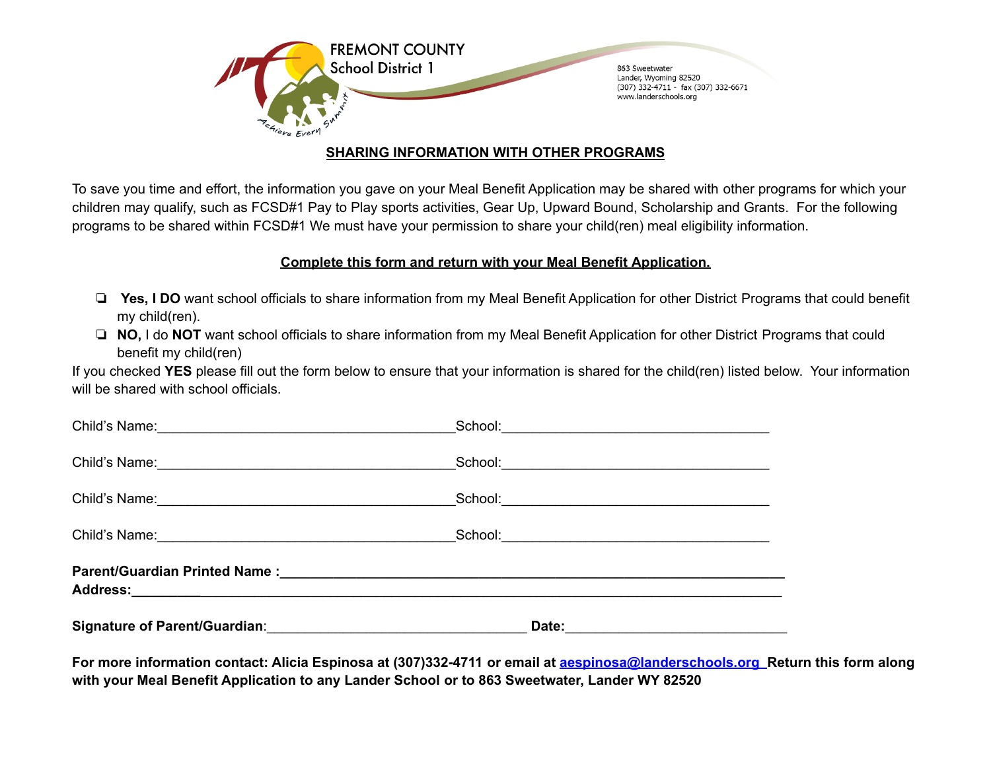

# **SHARING INFORMATION WITH OTHER PROGRAMS**

To save you time and effort, the information you gave on your Meal Benefit Application may be shared with other programs for which your children may qualify, such as FCSD#1 Pay to Play sports activities, Gear Up, Upward Bound, Scholarship and Grants. For the following programs to be shared within FCSD#1 We must have your permission to share your child(ren) meal eligibility information.

# **Complete this form and return with your Meal Benefit Application.**

- ❏ **Yes, I DO** want school officials to share information from my Meal Benefit Application for other District Programs that could benefit my child(ren).
- ❏ **NO,** I do **NOT** want school officials to share information from my Meal Benefit Application for other District Programs that could benefit my child(ren)

If you checked **YES** please fill out the form below to ensure that your information is shared for the child(ren) listed below. Your information will be shared with school officials.

| Child's Name:<br><u> Child's Name:</u> |  |
|----------------------------------------|--|
|                                        |  |
|                                        |  |

For more information contact: Alicia Espinosa at (307)332-4711 or email at aespinos[a@landerschools.org](mailto:dkinney@landerschools.org) Return this form along **with your Meal Benefit Application to any Lander School or to 863 Sweetwater, Lander WY 82520**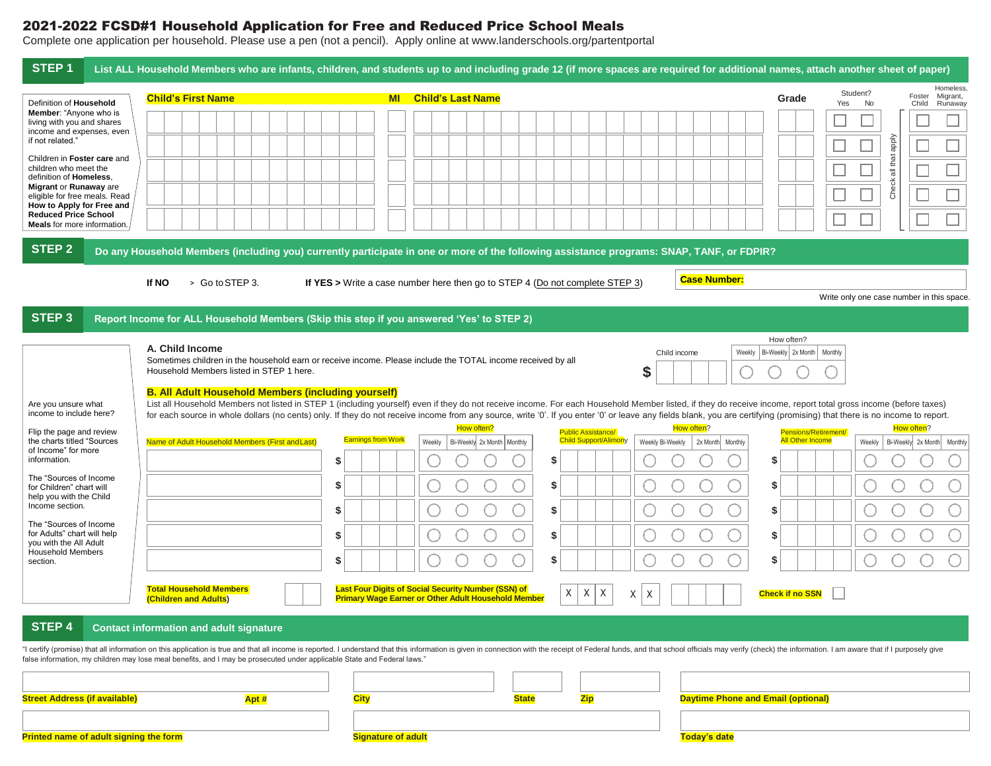## 2021-2022 FCSD#1 Household Application for Free and Reduced Price School Meals

Complete one application per household. Please use a pen (not a pencil). Apply online at www.landerschools.org/partentportal

| STEP <sub>1</sub>                                                                       |  | List ALL Household Members who are infants, children, and students up to and including grade 12 (if more spaces are required for additional names, attach another sheet of paper)                                                                                                                                                                                                                                                           |                                                                              |                                                            |           |        |                                            |              |    |     |                                                    |   |   |                  |                     |                     |                                                 |         |                              |                |                                          |                                           |
|-----------------------------------------------------------------------------------------|--|---------------------------------------------------------------------------------------------------------------------------------------------------------------------------------------------------------------------------------------------------------------------------------------------------------------------------------------------------------------------------------------------------------------------------------------------|------------------------------------------------------------------------------|------------------------------------------------------------|-----------|--------|--------------------------------------------|--------------|----|-----|----------------------------------------------------|---|---|------------------|---------------------|---------------------|-------------------------------------------------|---------|------------------------------|----------------|------------------------------------------|-------------------------------------------|
| Definition of Household                                                                 |  | <b>Child's First Name</b>                                                                                                                                                                                                                                                                                                                                                                                                                   |                                                                              |                                                            | <b>MI</b> |        | <b>Child's Last Name</b>                   |              |    |     |                                                    |   |   |                  |                     |                     | Grade                                           |         | Student?<br><b>No</b><br>Yes |                | Foster<br>Child                          | Homeless,<br>Migrant,<br>Runaway          |
| Member: "Anyone who is<br>living with you and shares                                    |  |                                                                                                                                                                                                                                                                                                                                                                                                                                             |                                                                              |                                                            |           |        |                                            |              |    |     |                                                    |   |   |                  |                     |                     |                                                 |         |                              |                |                                          |                                           |
| income and expenses, even<br>if not related.'                                           |  |                                                                                                                                                                                                                                                                                                                                                                                                                                             |                                                                              |                                                            |           |        |                                            |              |    |     |                                                    |   |   |                  |                     |                     |                                                 |         |                              |                |                                          |                                           |
| Children in Foster care and<br>children who meet the<br>definition of Homeless,         |  |                                                                                                                                                                                                                                                                                                                                                                                                                                             |                                                                              |                                                            |           |        |                                            |              |    |     |                                                    |   |   |                  |                     |                     |                                                 |         |                              | all that apply |                                          |                                           |
| Migrant or Runaway are<br>eligible for free meals. Read                                 |  |                                                                                                                                                                                                                                                                                                                                                                                                                                             |                                                                              |                                                            |           |        |                                            |              |    |     |                                                    |   |   |                  |                     |                     |                                                 |         |                              | Check          |                                          |                                           |
| How to Apply for Free and<br><b>Reduced Price School</b><br>Meals for more information. |  |                                                                                                                                                                                                                                                                                                                                                                                                                                             |                                                                              |                                                            |           |        |                                            |              |    |     |                                                    |   |   |                  |                     |                     |                                                 |         |                              |                |                                          |                                           |
| <b>STEP 2</b>                                                                           |  | Do any Household Members (including you) currently participate in one or more of the following assistance programs: SNAP, TANF, or FDPIR?                                                                                                                                                                                                                                                                                                   |                                                                              |                                                            |           |        |                                            |              |    |     |                                                    |   |   |                  |                     |                     |                                                 |         |                              |                |                                          |                                           |
|                                                                                         |  |                                                                                                                                                                                                                                                                                                                                                                                                                                             |                                                                              |                                                            |           |        |                                            |              |    |     |                                                    |   |   |                  |                     |                     |                                                 |         |                              |                |                                          |                                           |
|                                                                                         |  | If NO<br>> Go to STEP 3.                                                                                                                                                                                                                                                                                                                                                                                                                    | If YES > Write a case number here then go to STEP 4 (Do not complete STEP 3) |                                                            |           |        |                                            |              |    |     |                                                    |   |   |                  |                     | <b>Case Number:</b> |                                                 |         |                              |                |                                          | Write only one case number in this space. |
| <b>STEP 3</b>                                                                           |  | Report Income for ALL Household Members (Skip this step if you answered 'Yes' to STEP 2)                                                                                                                                                                                                                                                                                                                                                    |                                                                              |                                                            |           |        |                                            |              |    |     |                                                    |   |   |                  |                     |                     |                                                 |         |                              |                |                                          |                                           |
|                                                                                         |  | A. Child Income                                                                                                                                                                                                                                                                                                                                                                                                                             |                                                                              |                                                            |           |        |                                            |              |    |     |                                                    |   |   |                  |                     |                     | How often?                                      |         |                              |                |                                          |                                           |
|                                                                                         |  | Sometimes children in the household earn or receive income. Please include the TOTAL income received by all<br>Household Members listed in STEP 1 here.                                                                                                                                                                                                                                                                                     |                                                                              |                                                            |           |        |                                            |              |    |     |                                                    |   | S | Child income     |                     | Weekly              | Bi-Weekly 2x Month                              | Monthly |                              |                |                                          |                                           |
|                                                                                         |  | <b>B. All Adult Household Members (including yourself)</b>                                                                                                                                                                                                                                                                                                                                                                                  |                                                                              |                                                            |           |        |                                            |              |    |     |                                                    |   |   |                  |                     |                     |                                                 |         |                              |                |                                          |                                           |
| Are you unsure what<br>income to include here?                                          |  | List all Household Members not listed in STEP 1 (including yourself) even if they do not receive income. For each Household Member listed, if they do receive income, report total gross income (before taxes)<br>for each source in whole dollars (no cents) only. If they do not receive income from any source, write '0'. If you enter '0' or leave any fields blank, you are certifying (promising) that there is no income to report. |                                                                              |                                                            |           |        |                                            |              |    |     |                                                    |   |   |                  |                     |                     |                                                 |         |                              |                |                                          |                                           |
| Flip the page and review<br>the charts titled "Sources                                  |  | Name of Adult Household Members (First and Last)                                                                                                                                                                                                                                                                                                                                                                                            |                                                                              | <b>Earnings from Work</b>                                  |           | Weekly | How often?<br>Bi-Weekly 2x Month   Monthly |              |    |     | <b>Public Assistance/</b><br>Child Support/Alimony |   |   | Weekly Bi-Weekly | How often?          | 2x Month Monthly    | Pensions/Retirement/<br><b>All Other Income</b> |         | Weekly                       |                | How often?<br>Bi-Weekly 2x Month Monthly |                                           |
| of Income" for more<br>information.                                                     |  |                                                                                                                                                                                                                                                                                                                                                                                                                                             | \$                                                                           |                                                            |           |        |                                            |              | \$ |     |                                                    |   |   |                  |                     |                     | \$                                              |         |                              |                |                                          |                                           |
| The "Sources of Income<br>for Children" chart will                                      |  |                                                                                                                                                                                                                                                                                                                                                                                                                                             | S                                                                            |                                                            |           |        |                                            |              | \$ |     |                                                    |   |   |                  |                     |                     | \$                                              |         |                              |                |                                          |                                           |
| help you with the Child<br>Income section.                                              |  |                                                                                                                                                                                                                                                                                                                                                                                                                                             | \$                                                                           |                                                            |           |        |                                            |              | \$ |     |                                                    |   |   |                  |                     |                     | \$                                              |         |                              |                |                                          |                                           |
| The "Sources of Income<br>for Adults" chart will help                                   |  |                                                                                                                                                                                                                                                                                                                                                                                                                                             | \$                                                                           |                                                            |           |        |                                            |              | \$ |     |                                                    |   |   |                  |                     |                     | \$                                              |         |                              |                |                                          |                                           |
| you with the All Adult<br><b>Household Members</b><br>section.                          |  |                                                                                                                                                                                                                                                                                                                                                                                                                                             | S                                                                            |                                                            |           |        |                                            |              | \$ |     |                                                    |   |   |                  |                     |                     | \$                                              |         |                              |                |                                          |                                           |
|                                                                                         |  | <b>Total Household Members</b>                                                                                                                                                                                                                                                                                                                                                                                                              |                                                                              | <b>Last Four Digits of Social Security Number (SSN) of</b> |           |        |                                            |              |    |     |                                                    |   |   |                  |                     |                     |                                                 |         |                              |                |                                          |                                           |
|                                                                                         |  | (Children and Adults)                                                                                                                                                                                                                                                                                                                                                                                                                       |                                                                              | <b>Primary Wage Earner or Other Adult Household Member</b> |           |        |                                            |              | X  | X   | Χ                                                  | X | Χ |                  |                     |                     | <b>Check if no SSN</b>                          |         |                              |                |                                          |                                           |
| STEP 4                                                                                  |  | <b>Contact information and adult signature</b>                                                                                                                                                                                                                                                                                                                                                                                              |                                                                              |                                                            |           |        |                                            |              |    |     |                                                    |   |   |                  |                     |                     |                                                 |         |                              |                |                                          |                                           |
|                                                                                         |  | "I certify (promise) that all information on this application is true and that all income is reported. I understand that this information is given in connection with the receipt of Federal funds, and that school officials<br>false information, my children may lose meal benefits, and I may be prosecuted under applicable State and Federal laws."                                                                                   |                                                                              |                                                            |           |        |                                            |              |    |     |                                                    |   |   |                  |                     |                     |                                                 |         |                              |                |                                          |                                           |
|                                                                                         |  |                                                                                                                                                                                                                                                                                                                                                                                                                                             |                                                                              |                                                            |           |        |                                            |              |    |     |                                                    |   |   |                  |                     |                     |                                                 |         |                              |                |                                          |                                           |
| <b>Street Address (if available)</b>                                                    |  | Apt #                                                                                                                                                                                                                                                                                                                                                                                                                                       |                                                                              | <b>City</b>                                                |           |        |                                            | <b>State</b> |    | Zip |                                                    |   |   |                  |                     |                     | <b>Daytime Phone and Email (optional)</b>       |         |                              |                |                                          |                                           |
|                                                                                         |  |                                                                                                                                                                                                                                                                                                                                                                                                                                             |                                                                              |                                                            |           |        |                                            |              |    |     |                                                    |   |   |                  |                     |                     |                                                 |         |                              |                |                                          |                                           |
| Printed name of adult signing the form                                                  |  |                                                                                                                                                                                                                                                                                                                                                                                                                                             |                                                                              | <b>Signature of adult</b>                                  |           |        |                                            |              |    |     |                                                    |   |   |                  | <b>Today's date</b> |                     |                                                 |         |                              |                |                                          |                                           |